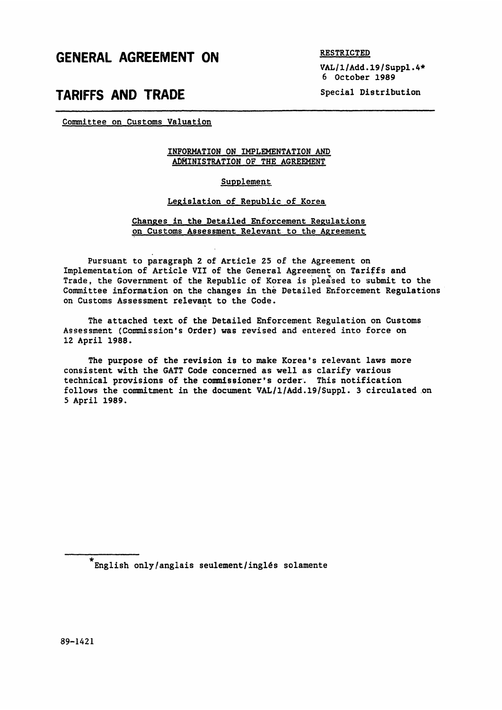## GENERAL AGREEMENT ON

RESTRICTED

VAL/l/Add.19/Suppl.4\* 6 October 1989

# TARIFFS AND TRADE

Special Distribution

Committee on Customs Valuation

### INFORMATION ON IMPLEMENTATION AND ADMINISTRATION OF THE AGREEMENT

### Supplement

#### Legislation of Republic of Korea

#### Changes in the Detailed Enforcement Regulations on Customs Assessment Relevant to the Agreement

Pursuant to paragraph 2 of Article 25 of the Agreement on Implementation of Article VII of the General Agreement on Tariffs and Trade, the Government of the Republic of Korea is pleased to submit to the Committee information on the changes in the Detailed Enforcement Regulations on Customs Assessment relevant to the Code.

The attached text of the Detailed Enforcement Regulation on Customs Assessment (Commission's Order) was revised and entered into force on 12 April 1988.

The purpose of the revision is to make Korea's relevant laws more consistent with the GATT Code concerned as well as clarify various technical provisions of the commissioner's order. This notification follows the commitment in the document VAL/l/Add.19/Suppl. 3 circulated on 5 April 1989.

 $^{\star}$  English only/anglais seulement/inglés solamente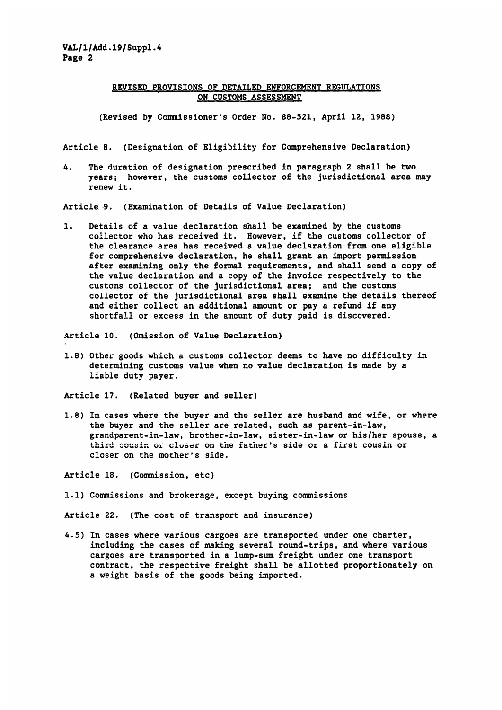### REVISED PROVISIONS OF DETAILED ENFORCEMENT REGULATIONS ON CUSTOMS ASSESSMENT

(Revised by Commissioner's Order No. 88-521, April 1Z, 1988)

Article 8. (Designation of Eligibility for Comprehensive Declaration)

4. The duration of designation prescribed in paragraph 2 shall be two years; however, the customs collector of the jurisdictional area may renew it.

Article 9. (Examination of Details of Value Declaration)

1. Details of a value declaration shall be examined by the customs collector who has received it. However, if the customs collector of the clearance area has received a value declaration from one eligible for comprehensive declaration, he shall grant an import permission after examining only the formal requirements, and shall send a copy of the value declaration and a copy of the invoice respectively to the customs collector of the jurisdictional area; and the customs collector of the jurisdictional area shall examine the details thereof and either collect an additional amount or pay a refund if any shortfall or excess in the amount of duty paid is discovered.

Article 10. (Omission of Value Declaration)

1.8) Other goods which a customs collector deems to have no difficulty in determining customs value when no value declaration is made by a liable duty payer.

Article 17. (Related buyer and seller)

1.8) In cases where the buyer and the seller are husband and wife, or where the buyer and the seller are related, such as parent-in-law, grandparent-in-law, brother-in-law, sister-in-law or his/her spouse, a third cousin or closer on the father's side or a first cousin or closer on the mother's side.

Article 18. (Commission, etc)

1.1) Commissions and brokerage, except buying commissions

Article 22. (The cost of transport and insurance)

4.5) In cases where various cargoes are transported under one charter, including the cases of making several round-trips, and where various cargoes are transported in a lump-sum freight under one transport contract, the respective freight shall be allotted proportionately on a weight basis of the goods being imported.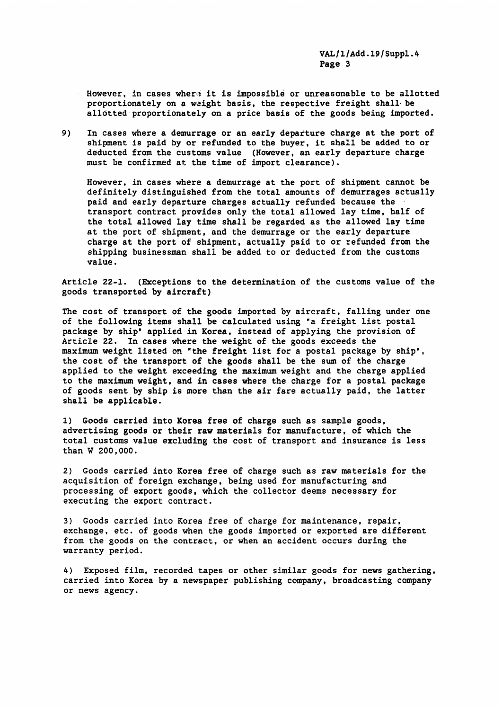However, in cases where it is impossible or unreasonable to be allotted proportionately on a weight basis, the respective freight shall be allotted proportionately on a price basis of the goods being imported.

9) In cases where a demurrage or an early departure charge at the port of shipment is paid by or refunded to the buyer, it shall be added to or deducted from the customs value (However, an early departure charge must be confirmed at the time of import clearance).

However, in cases where a demurrage at the port of shipment cannot be definitely distinguished from the total amounts of demurrages actually paid and early departure charges actually refunded because the transport contract provides only the total allowed lay time, half of the total allowed lay time shall be regarded as the allowed lay time at the port of shipment, and the demurrage or the early departure charge at the port of shipment, actually paid to or refunded from the shipping businessman shall be added to or deducted from the customs value.

Article 22-1. (Exceptions to the determination of the customs value of the goods transported by aircraft)

The cost of transport of the goods imported by aircraft, falling under one of the following items shall be calculated using "a freight list postal package by ship" applied in Korea, instead of applying the provision of Article 22. In cases where the weight of the goods exceeds the maximum weight listed on "the freight list for a postal package by ship", the cost of the transport of the goods shall be the sum of the charge applied to the weight exceeding the maximum weight and the charge applied to the maximum weight, and in cases where the charge for a postal package of goods sent by ship is more than the air fare actually paid, the latter shall be applicable.

1) Goods carried into Korea free of charge such as sample goods, advertising goods or their raw materials for manufacture, of which the total customs value excluding the cost of transport and insurance is less than W 200,000.

2) Goods carried into Korea free of charge such as raw materials for the acquisition of foreign exchange, being used for manufacturing and processing of export goods, which the collector deems necessary for executing the export contract.

3) Goods carried into Korea free of charge for maintenance, repair, exchange, etc. of goods when the goods imported or exported are different from the goods on the contract, or when an accident occurs during the warranty period.

4) Exposed film, recorded tapes or other similar goods for news gathering, carried into Korea by a newspaper publishing company, broadcasting company or news agency.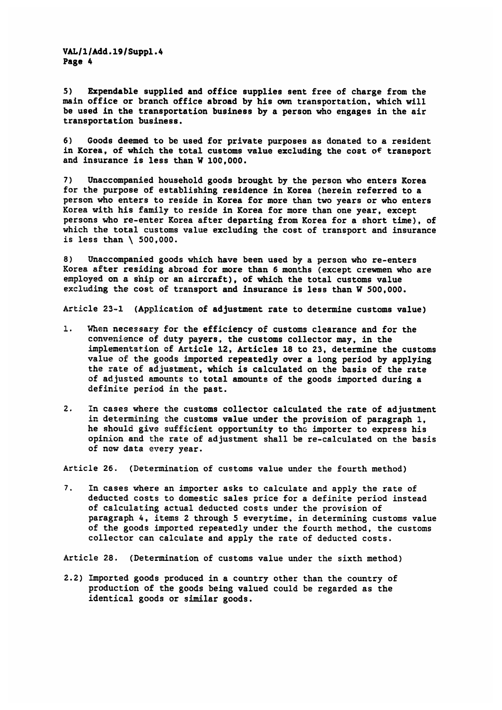VAL/1/Add.19/Suppl.4 Page 4

5) Expendable supplied and office supplies sent free of charge from the main office or branch office abroad by his own transportation, which will be used in the transportation business by a person who engages in the air transportation business.

6) Goods deemed to be used for private purposes as donated to a resident in Korea, of which the total customs value excluding the cost of transport and insurance is less than W 100,000.

7) Unaccompanied household goods brought by the person who enters Korea for the purpose of establishing residence in Korea (herein referred to a person who enters to reside in Korea for more than two years or who enters Korea with his family to reside in Korea for more than one year, except persons who re-enter Korea after departing from Korea for a short time), of which the total customs value excluding the cost of transport and insurance is less than \ 500,000.

8) Unaccompanied goods which have been used by a person who re-enters Korea after residing abroad for more than 6 months (except crewmen who are employed on a ship or an aircraft), of which the total customs value excluding the cost of transport and insurance is less than W 500,000.

Article 23-1 (Application of adjustment rate to determine customs value)

- I. When necessary for the efficiency of customs clearance and for the convenience of duty payers, the customs collector may, in the implementation of Article 12, Articles 18 to 23, determine the customs value of the goods imported repeatedly over a long period by applying the rate of adjustment, which is calculated on the basis of the rate of adjusted amounts to total amounts of the goods imported during a definite period in the past.
- 2. In cases where the customs collector calculated the rate of adjustment in determining the customs value under the provision of paragraph 1, he should give sufficient opportunity to the importer to express his opinion and the rate of adjustment shall be re-calculated on the basis of new data every year.

Article 26. (Determination of customs value under the fourth method)

7. In cases where an importer asks to calculate and apply the rate of deducted costs to domestic sales price for a definite period instead of calculating actual deducted costs under the provision of paragraph 4, items 2 through 5 everytime, in determining customs value of the goods imported repeatedly under the fourth method, the customs collector can calculate and apply the rate of deducted costs.

Article 28. (Determination of customs value under the sixth method)

2.2) Imported goods produced in a country other than the country of production of the goods being valued could be regarded as the identical goods or similar goods.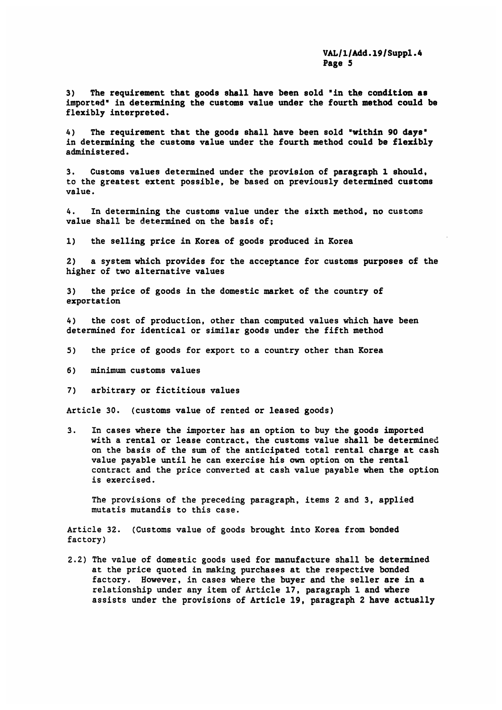3) The requirement that goods shall have been sold 'in the condition as imported" in determining the customs value under the fourth method could be flexibly interpreted.

4) The requirement that the goods shall have been sold "within 90 days in determining the customs value under the fourth method could be flexibly administered.

3. Customs values determined under the provision of paragraph 1 should, to the greatest extent possible, be based on previously determined customs value.

4. In determining the customs value under the sixth method, no customs value shall be determined on the basis of;

1) the selling price in Korea of goods produced in Korea

2) a system which provides for the acceptance for customs purposes of the higher of two alternative values

3) the price of goods in the domestic market of the country of exportation

4) the cost of production, other than computed values which have been determined for identical or similar goods under the fifth method

- 5) the price of goods for export to a country other than Korea
- 6) minimum customs values
- 7) arbitrary or fictitious values

Article 30. (customs value of rented or leased goods)

3. In cases where the importer has an option to buy the goods imported with a rental or lease contract, the customs value shall be determined on the basis of the sum of the anticipated total rental charge at cash value payable until he can exercise his own option on the rental contract and the price converted at cash value payable when the option is exercised.

The provisions of the preceding paragraph, items 2 and 3, applied mutatis mutandis to this case.

Article 32. (Customs value of goods brought into Korea from bonded factory)

2.2) The value of domestic goods used for manufacture shall be determined at the price quoted in making purchases at the respective bonded factory. However, in cases where the buyer and the seller are in a relationship under any item of Article 17, paragraph 1 and where assists under the provisions of Article 19, paragraph 2 have actually